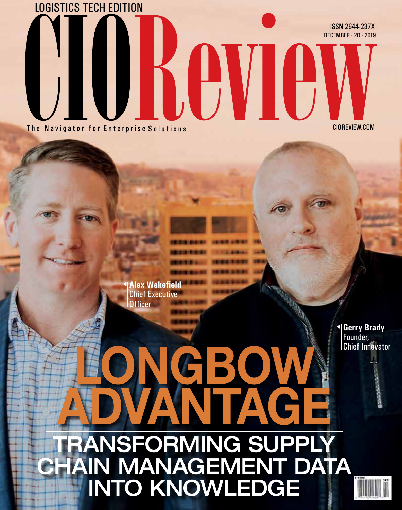

**Alex Wakefield** Chief Executive **Officer** 

## CBOW ADVANTAGE RANSFORMING SUPPLY CHAIN MANAGEMENT DATA INTO KNOWLEDGE

**Gerry Brady**  Founder, Chief Innovator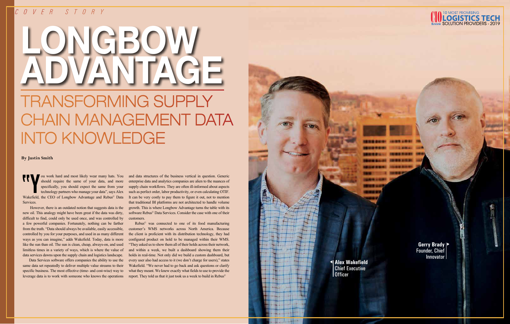#### *COVER STORY*

**Gerry Brady**  Founder, Chief Innovator

# LONGBOW ADVANTAGE TRANSFORMING SUPPLY CHAIN MANAGEMENT DATA INTO KNOWLEDGE

T<br>
You work hard and most likely wear many hats. You should require the same of your data, and more specifically, you should expect the same from your technology partners who manage your data", says Alex Wakefield, the CEO ou work hard and most likely wear many hats. You should require the same of your data, and more specifically, you should expect the same from your technology partners who manage your data", says Alex Services.

 However, there is an outdated notion that suggests data is the new oil. This analogy might have been great if the data was dirty, difficult to find, could only be used once, and was controlled by a few powerful companies. Fortunately, nothing can be farther from the truth. "Data should always be available, easily accessible, controlled by you for your purposes, and used in as many different ways as you can imagine," adds Wakefield. Today, data is more like the sun than oil. The sun is clean, cheap, always-on, and used limitless times in a variety of ways, which is where the value of data services dawns upon the supply chain and logistics landscape.

Data Services software offers companies the ability to use the same data set repeatedly to deliver multiple value streams to their specific business. The most effective (time- and cost-wise) way to leverage data is to work with someone who knows the operations

and data structures of the business vertical in question. Generic enterprise data and analytics companies are alien to the nuances of supply chain workflows. They are often ill-informed about aspects such as perfect order, labor productivity, or even calculating OTIF. It can be very costly to pay them to figure it out, not to mention that traditional BI platforms are not architected to handle volume growth. This is where Longbow Advantage turns the table with its software Rebus © Data Services. Consider the case with one of their customers.

Rebus © was connected to one of its food manufacturing customer's WMS networks across North America. Because the client is proficient with its distribution technology, they had configured product on hold to be managed within their WMS. "They asked us to show them all of their holds across their network, and within a week, we built a dashboard showing them their holds in real-time. Not only did we build a custom dashboard, but every user also had access to it (we don't charge for users)," states Wakefield. "We never had to go back and ask questions or clarify what they meant. We knew exactly what fields to use to provide the report. They told us that it just took us a week to build in Rebus ©

**Alex Wakefield**  Chief Executive Officer

**By Justin Smith**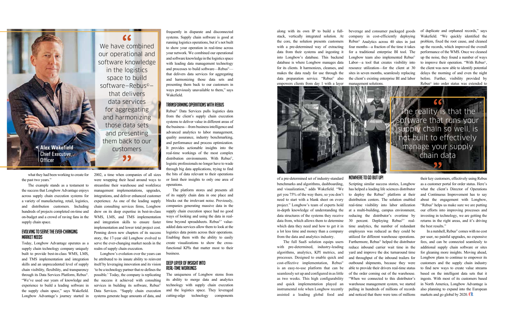what they had been working to create for 2002, a time when companies of all sizes the past two years."

The example stands as a testament to the success that Longbow Advantage enjoys across supply chain execution systems for a variety of manufacturing, retail, logistics, and distribution customers. Including hundreds of projects completed on-time and on-budget and a crowd of raving fans in the supply chain space.

#### Evolving to Serve the Ever-changing Market Needs

Today, Longbow Advantage operates as a supply chain technology company uniquely built to provide best-in-class WMS, LMS, and TMS implementation and integration skills and an unprecedented level of supply chain visibility, flexibility, and transparency through its Data Services Platform, Rebus©. "We've used our years of knowledge and experience to build a leading software in the supply chain space," says Wakefield. Longbow Advantage's journey started in

were wrapping their head around ways to streamline their warehouse and workforce management implementations, upgrades, integrations, and deliver enhanced customer experience. As one of the leading supply chain consulting services firms, Longbow drew on its deep expertise in best-in-class WMS, LMS, and TMS implementation and integration skills to ensure faster implementation and lower total project cost. Penning down new chapters of its success story, the 17-year old Longbow evolved to serve the ever-changing market needs in the realm of supply chain execution.

"

Longbow's evolution over the years can be attributed to its innate ability to reinvent itself by leveraging innovation and its vision 'to be a technology partner that re-defines the possible.' Today, the company is replicating the success it achieved with consulting services in building its software, Rebus<sup>®</sup> Data Services. "Supply chain execution systems generate huge amounts of data, and

frequently in disparate and disconnected systems. Supply chain software is good at running logistics operations, but it's not built to show your operation in real-time across your network. We combined our operational and software knowledge in the logistics space with leading data management technology and processes to build software—Rebus© that delivers data services for aggregating and harmonizing those data sets and presenting them back to our customers in ways previously unavailable to them," says Wakefield.

#### Transforming Operations with Rebus

Rebus© Data Services pulls logistics data from the client's supply chain execution systems to deliver value in different areas of the business—from business intelligence and advanced analytics to labor management, quality assurance, industry benchmarking, and performance and process optimization. It provides actionable insights into the real-time workings of the most complex distribution environments. With Rebus©, logistic professionals no longer have to wade through big data applications, trying to find the bits of data relevant to their operations or limit their insights to only one area of operations.

The platform stores and presents all of its supply chain data in one place and blocks out the irrelevant noise. Previously, companies generating massive data in the supply chain execution space had no good ways of looking and using the data in realtime beyond spreadsheets. Rebus<sup>®</sup>' valueadded data services allow them to look at the logistics data points across their operations. Enabling them with the ability to easily create visualizations to show the crossfunctional KPIs that matter most to their business.

#### Deep Layer of Insight into Real-Time Workings

In a nutshell, Rebus© comes with no cost per user, no painful upgrades, no expensive fees, and can be connected seamlessly to additional supply chain software or sites for gleaning more insights. Moving ahead, Longbow plans to continue to empower its customers and the supply chain industry to find new ways to create value streams based on the intelligent data sets that it ingests. With most of its customers based in North America, Longbow Advantage is also planning to expand into the European markets and go global by 2020. CR

The uniqueness of Longbow stems from its ability to merge data and analytics technology with supply chain execution and the logistics space. They leveraged cutting-edge technology components

along with its own IP to build a fullstack, vertically integrated solution. At the core, the solution presents customers with a pre-determined way of extracting data from their systems and ingesting it into Longbow's database. This backend database is where Longbow manages data for its clients. It harmonizes, cleanses, and makes the data ready for use through the data preparation service. "Rebus<sup>®</sup> also empowers clients from day 1 with a layer

of a pre-determined set of industry-standard benchmarks and algorithms, dashboarding, and visualization," adds Wakefield. "We get you 75% of the way there, so you don't need to start with a blank sheet on every project." Longbow's team of experts hold in-depth knowledge of understanding the data structures of the systems they receive data from, which allows them to determine which data they need and how to get it in a lot less time and money than a company from the data and analytics industry.

The full SaaS solution equips users with pre-determined, industry-leading algorithms, analytics, KPI metrics, and processes. Designed to enable quick and cost-effective implementation, Rebus<sup>©</sup> is an easy-to-use platform that can be seamlessly set up and configured in as little as two weeks. This high configurability and quick implementation played an instrumental role when Longbow recently assisted a leading global food and

#### NOWHERE TO GO BUT UP!

beverage and consumer packaged goods company in cost-efficiently deploying Rebus© Analytics across 40 sites in just four months—a fraction of the time it takes for a traditional enterprise BI tool. The Longbow team also implemented Rebus<sup>©</sup> Labor—a tool that creates visibility into resource utilization—for the client at 30 sites in seven months, seamlessly replacing the client's existing enterprise BI and labor management solutions.



Scripting similar success stories, Longbow has helped a leading life sciences distributor to deploy the Rebus© platform at their distribution centers. The solution enabled real-time visibility into labor utilization at a multi-building, campus environment, reducing the distributor's overtime by 30 percent. Deploying Rebus©' realtime analytics, the number of redundant employees was reduced as they could be utilized for different warehouse operations. Furthermore, Rebus© helped the distributor reduce inbound carrier wait time in the yard and improve the doc turnaround time and throughput of the inbound trailers for outbound shipments, because they were able to provide their drivers real-time status of the order coming out of the warehouse. "When we connected to this distributor's warehouse management system, we started pulling in hundreds of millions of records and noticed that there were tens of millions

of duplicate and orphaned records," says Wakefield. "We quickly identified the problem, fixed the root cause, and cleaned up the records, which improved the overall performance of the WMS. Once we cleaned up the noise, they found a number of ways to improve their operation. "With Rebus©, the client was now able to identify potential delays the morning of and even the night before. Further, visibility provided by Rebus© into order status was extended to

The reality is that the software that runs your supply chain so well, is not built to effectively manage your supply chain data 99

> their key customers, effectively using Rebus as a customer portal for order status. Here's what the client's Director of Operations and Continuous Improvement has to say about the engagement with Longbow, "Rebus© helps us make sure we are putting our efforts into improving processes and investing in technology, we are getting the returns in the right areas, and it's driving the best results."

We have combined our operational and software knowledge in the logistics space to build software—Rebus© that delivers data services for aggregating and harmonizing those data sets and presenting them back to our customers

 $\epsilon$